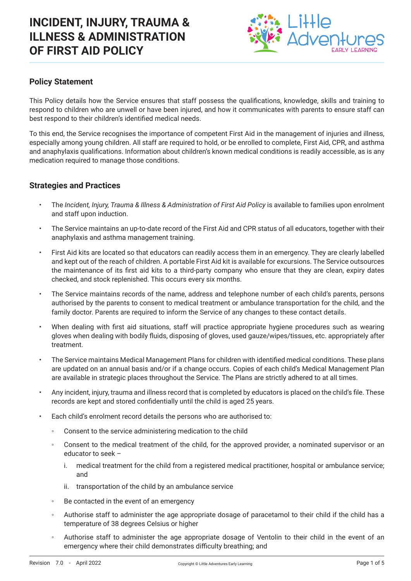

## **Policy Statement**

This Policy details how the Service ensures that staff possess the qualifications, knowledge, skills and training to respond to children who are unwell or have been injured, and how it communicates with parents to ensure staff can best respond to their children's identified medical needs.

To this end, the Service recognises the importance of competent First Aid in the management of injuries and illness, especially among young children. All staff are required to hold, or be enrolled to complete, First Aid, CPR, and asthma and anaphylaxis qualifications. Information about children's known medical conditions is readily accessible, as is any medication required to manage those conditions.

### **Strategies and Practices**

- The *Incident, Injury, Trauma & Illness & Administration of First Aid Policy* is available to families upon enrolment and staff upon induction.
- The Service maintains an up-to-date record of the First Aid and CPR status of all educators, together with their anaphylaxis and asthma management training.
- First Aid kits are located so that educators can readily access them in an emergency. They are clearly labelled and kept out of the reach of children. A portable First Aid kit is available for excursions. The Service outsources the maintenance of its first aid kits to a third-party company who ensure that they are clean, expiry dates checked, and stock replenished. This occurs every six months.
- The Service maintains records of the name, address and telephone number of each child's parents, persons authorised by the parents to consent to medical treatment or ambulance transportation for the child, and the family doctor. Parents are required to inform the Service of any changes to these contact details.
- When dealing with first aid situations, staff will practice appropriate hygiene procedures such as wearing gloves when dealing with bodily fluids, disposing of gloves, used gauze/wipes/tissues, etc. appropriately after treatment.
- The Service maintains Medical Management Plans for children with identified medical conditions. These plans are updated on an annual basis and/or if a change occurs. Copies of each child's Medical Management Plan are available in strategic places throughout the Service. The Plans are strictly adhered to at all times.
- Any incident, injury, trauma and illness record that is completed by educators is placed on the child's file. These records are kept and stored confidentially until the child is aged 25 years.
- Each child's enrolment record details the persons who are authorised to:
	- Consent to the service administering medication to the child
	- Consent to the medical treatment of the child, for the approved provider, a nominated supervisor or an educator to seek –
		- i. medical treatment for the child from a registered medical practitioner, hospital or ambulance service; and
		- ii. transportation of the child by an ambulance service
	- Be contacted in the event of an emergency
	- Authorise staff to administer the age appropriate dosage of paracetamol to their child if the child has a temperature of 38 degrees Celsius or higher
	- Authorise staff to administer the age appropriate dosage of Ventolin to their child in the event of an emergency where their child demonstrates difficulty breathing; and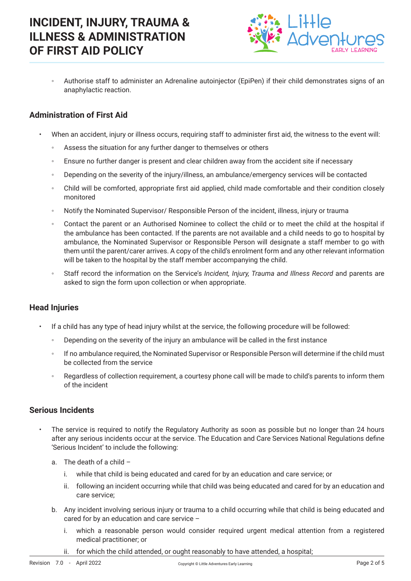

◦ Authorise staff to administer an Adrenaline autoinjector (EpiPen) if their child demonstrates signs of an anaphylactic reaction.

## **Administration of First Aid**

- When an accident, injury or illness occurs, requiring staff to administer first aid, the witness to the event will:
	- Assess the situation for any further danger to themselves or others
	- Ensure no further danger is present and clear children away from the accident site if necessary
	- Depending on the severity of the injury/illness, an ambulance/emergency services will be contacted
	- Child will be comforted, appropriate first aid applied, child made comfortable and their condition closely monitored
	- Notify the Nominated Supervisor/ Responsible Person of the incident, illness, injury or trauma
	- Contact the parent or an Authorised Nominee to collect the child or to meet the child at the hospital if the ambulance has been contacted. If the parents are not available and a child needs to go to hospital by ambulance, the Nominated Supervisor or Responsible Person will designate a staff member to go with them until the parent/carer arrives. A copy of the child's enrolment form and any other relevant information will be taken to the hospital by the staff member accompanying the child.
	- Staff record the information on the Service's *Incident, Injury, Trauma and Illness Record* and parents are asked to sign the form upon collection or when appropriate.

### **Head Injuries**

- If a child has any type of head injury whilst at the service, the following procedure will be followed:
	- Depending on the severity of the injury an ambulance will be called in the first instance
	- If no ambulance required, the Nominated Supervisor or Responsible Person will determine if the child must be collected from the service
	- Regardless of collection requirement, a courtesy phone call will be made to child's parents to inform them of the incident

### **Serious Incidents**

- The service is required to notify the Regulatory Authority as soon as possible but no longer than 24 hours after any serious incidents occur at the service. The Education and Care Services National Regulations define 'Serious Incident' to include the following:
	- a. The death of a child
		- i. while that child is being educated and cared for by an education and care service; or
		- ii. following an incident occurring while that child was being educated and cared for by an education and care service;
	- b. Any incident involving serious injury or trauma to a child occurring while that child is being educated and cared for by an education and care service –
		- i. which a reasonable person would consider required urgent medical attention from a registered medical practitioner; or
		- ii. for which the child attended, or ought reasonably to have attended, a hospital;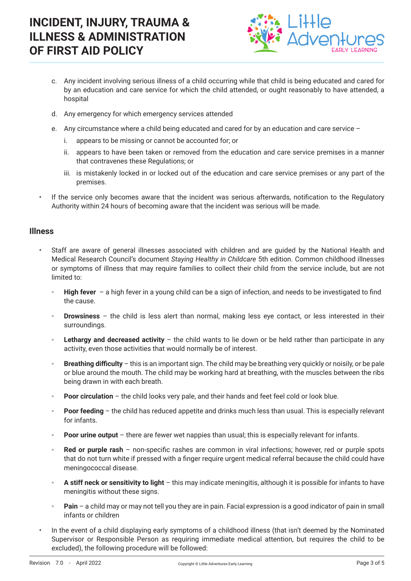

- c. Any incident involving serious illness of a child occurring while that child is being educated and cared for by an education and care service for which the child attended, or ought reasonably to have attended, a hospital
- d. Any emergency for which emergency services attended
- e. Any circumstance where a child being educated and cared for by an education and care service
	- i. appears to be missing or cannot be accounted for; or
	- ii. appears to have been taken or removed from the education and care service premises in a manner that contravenes these Regulations; or
	- iii. is mistakenly locked in or locked out of the education and care service premises or any part of the premises.
- If the service only becomes aware that the incident was serious afterwards, notification to the Regulatory Authority within 24 hours of becoming aware that the incident was serious will be made.

### **Illness**

- Staff are aware of general illnesses associated with children and are guided by the National Health and Medical Research Council's document *Staying Healthy in Childcare* 5th edition. Common childhood illnesses or symptoms of illness that may require families to collect their child from the service include, but are not limited to:
	- **High fever** a high fever in a young child can be a sign of infection, and needs to be investigated to find the cause.
	- **Drowsiness** the child is less alert than normal, making less eye contact, or less interested in their surroundings.
	- **Lethargy and decreased activity** the child wants to lie down or be held rather than participate in any activity, even those activities that would normally be of interest.
	- **Breathing difficulty** this is an important sign. The child may be breathing very quickly or noisily, or be pale or blue around the mouth. The child may be working hard at breathing, with the muscles between the ribs being drawn in with each breath.
	- **Poor circulation** the child looks very pale, and their hands and feet feel cold or look blue.
	- **Poor feeding** the child has reduced appetite and drinks much less than usual. This is especially relevant for infants.
	- **Poor urine output** there are fewer wet nappies than usual; this is especially relevant for infants.
	- **Red or purple rash** non-specific rashes are common in viral infections; however, red or purple spots that do not turn white if pressed with a finger require urgent medical referral because the child could have meningococcal disease.
	- **A stiff neck or sensitivity to light** this may indicate meningitis, although it is possible for infants to have meningitis without these signs.
	- **Pain** a child may or may not tell you they are in pain. Facial expression is a good indicator of pain in small infants or children
- In the event of a child displaying early symptoms of a childhood illness (that isn't deemed by the Nominated Supervisor or Responsible Person as requiring immediate medical attention, but requires the child to be excluded), the following procedure will be followed: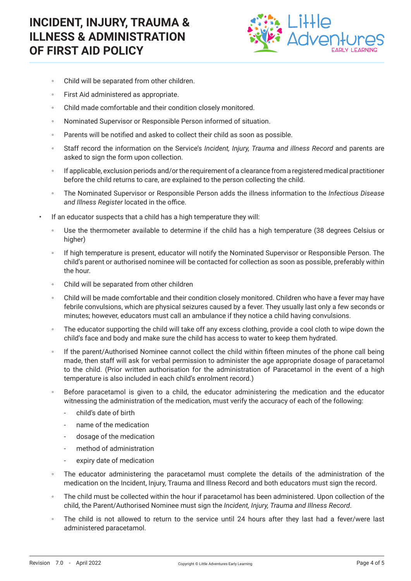

- Child will be separated from other children.
- First Aid administered as appropriate.
- Child made comfortable and their condition closely monitored.
- Nominated Supervisor or Responsible Person informed of situation.
- Parents will be notified and asked to collect their child as soon as possible.
- Staff record the information on the Service's *Incident, Injury, Trauma and illness Record* and parents are asked to sign the form upon collection.
- If applicable, exclusion periods and/or the requirement of a clearance from a registered medical practitioner before the child returns to care, are explained to the person collecting the child.
- The Nominated Supervisor or Responsible Person adds the illness information to the *Infectious Disease and Illness Register* located in the office.
- If an educator suspects that a child has a high temperature they will:
	- Use the thermometer available to determine if the child has a high temperature (38 degrees Celsius or higher)
	- If high temperature is present, educator will notify the Nominated Supervisor or Responsible Person. The child's parent or authorised nominee will be contacted for collection as soon as possible, preferably within the hour.
	- Child will be separated from other children
	- Child will be made comfortable and their condition closely monitored. Children who have a fever may have febrile convulsions, which are physical seizures caused by a fever. They usually last only a few seconds or minutes; however, educators must call an ambulance if they notice a child having convulsions.
	- The educator supporting the child will take off any excess clothing, provide a cool cloth to wipe down the child's face and body and make sure the child has access to water to keep them hydrated.
	- If the parent/Authorised Nominee cannot collect the child within fifteen minutes of the phone call being made, then staff will ask for verbal permission to administer the age appropriate dosage of paracetamol to the child. (Prior written authorisation for the administration of Paracetamol in the event of a high temperature is also included in each child's enrolment record.)
	- Before paracetamol is given to a child, the educator administering the medication and the educator witnessing the administration of the medication, must verify the accuracy of each of the following:
		- child's date of birth
		- name of the medication
		- dosage of the medication
		- method of administration
		- expiry date of medication
	- The educator administering the paracetamol must complete the details of the administration of the medication on the Incident, Injury, Trauma and Illness Record and both educators must sign the record.
	- The child must be collected within the hour if paracetamol has been administered. Upon collection of the child, the Parent/Authorised Nominee must sign the *Incident, Injury, Trauma and Illness Record*.
	- The child is not allowed to return to the service until 24 hours after they last had a fever/were last administered paracetamol.